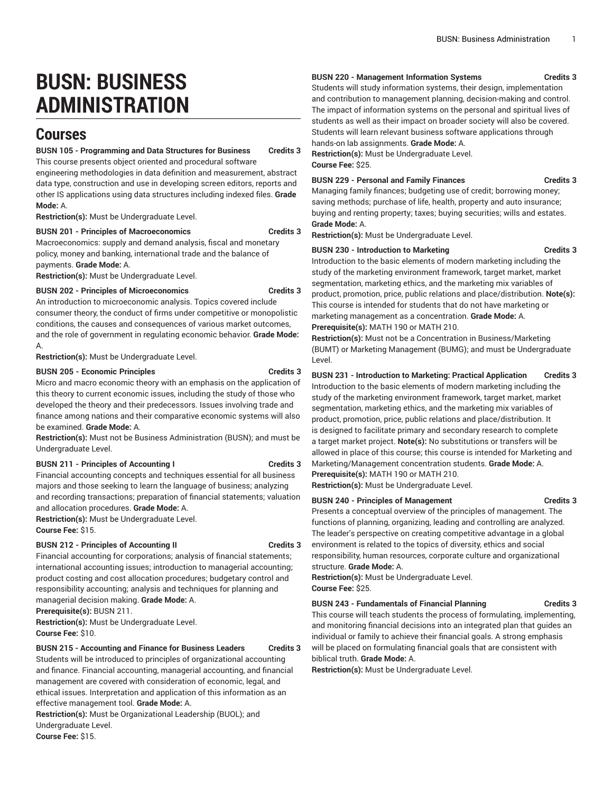# **BUSN: BUSINESS ADMINISTRATION**

# **Courses**

# **BUSN 105 - Programming and Data Structures for Business Credits 3**

This course presents object oriented and procedural software

engineering methodologies in data definition and measurement, abstract data type, construction and use in developing screen editors, reports and other IS applications using data structures including indexed files. **Grade Mode:** A.

**Restriction(s):** Must be Undergraduate Level.

# **BUSN 201 - Principles of Macroeconomics Credits 3**

Macroeconomics: supply and demand analysis, fiscal and monetary policy, money and banking, international trade and the balance of payments. **Grade Mode:** A.

**Restriction(s):** Must be Undergraduate Level.

# **BUSN 202 - Principles of Microeconomics Credits 3**

An introduction to microeconomic analysis. Topics covered include consumer theory, the conduct of firms under competitive or monopolistic conditions, the causes and consequences of various market outcomes, and the role of government in regulating economic behavior. **Grade Mode:** A.

**Restriction(s):** Must be Undergraduate Level.

# **BUSN 205 - Economic Principles Credits 3**

Micro and macro economic theory with an emphasis on the application of this theory to current economic issues, including the study of those who developed the theory and their predecessors. Issues involving trade and finance among nations and their comparative economic systems will also be examined. **Grade Mode:** A.

**Restriction(s):** Must not be Business Administration (BUSN); and must be Undergraduate Level.

# **BUSN 211 - Principles of Accounting I Credits 3**

Financial accounting concepts and techniques essential for all business majors and those seeking to learn the language of business; analyzing and recording transactions; preparation of financial statements; valuation and allocation procedures. **Grade Mode:** A.

**Restriction(s):** Must be Undergraduate Level. **Course Fee:** \$15.

# **BUSN 212 - Principles of Accounting II Credits 3**

Financial accounting for corporations; analysis of financial statements; international accounting issues; introduction to managerial accounting; product costing and cost allocation procedures; budgetary control and responsibility accounting; analysis and techniques for planning and managerial decision making. **Grade Mode:** A.

**Prerequisite(s):** BUSN 211.

**Restriction(s):** Must be Undergraduate Level. **Course Fee:** \$10.

**BUSN 215 - Accounting and Finance for Business Leaders Credits 3**

Students will be introduced to principles of organizational accounting and finance. Financial accounting, managerial accounting, and financial management are covered with consideration of economic, legal, and ethical issues. Interpretation and application of this information as an effective management tool. **Grade Mode:** A.

**Restriction(s):** Must be Organizational Leadership (BUOL); and Undergraduate Level.

#### **Course Fee:** \$15.

# **BUSN 220 - Management Information Systems Credits 3**

Students will study information systems, their design, implementation and contribution to management planning, decision-making and control. The impact of information systems on the personal and spiritual lives of students as well as their impact on broader society will also be covered. Students will learn relevant business software applications through hands-on lab assignments. **Grade Mode:** A.

**Restriction(s):** Must be Undergraduate Level. **Course Fee:** \$25.

# **BUSN 229 - Personal and Family Finances Credits 3**

Managing family finances; budgeting use of credit; borrowing money; saving methods; purchase of life, health, property and auto insurance; buying and renting property; taxes; buying securities; wills and estates. **Grade Mode:** A.

**Restriction(s):** Must be Undergraduate Level.

# **BUSN 230 - Introduction to Marketing Credits 3**

Introduction to the basic elements of modern marketing including the study of the marketing environment framework, target market, market segmentation, marketing ethics, and the marketing mix variables of product, promotion, price, public relations and place/distribution. **Note(s):** This course is intended for students that do not have marketing or marketing management as a concentration. **Grade Mode:** A.

**Prerequisite(s):** MATH 190 or MATH 210.

**Restriction(s):** Must not be a Concentration in Business/Marketing (BUMT) or Marketing Management (BUMG); and must be Undergraduate Level.

**BUSN 231 - Introduction to Marketing: Practical Application Credits 3** Introduction to the basic elements of modern marketing including the study of the marketing environment framework, target market, market segmentation, marketing ethics, and the marketing mix variables of product, promotion, price, public relations and place/distribution. It is designed to facilitate primary and secondary research to complete a target market project. **Note(s):** No substitutions or transfers will be allowed in place of this course; this course is intended for Marketing and Marketing/Management concentration students. **Grade Mode:** A.

**Prerequisite(s):** MATH 190 or MATH 210. **Restriction(s):** Must be Undergraduate Level.

# **BUSN 240 - Principles of Management Credits 3**

functions of planning, organizing, leading and controlling are analyzed. The leader's perspective on creating competitive advantage in a global environment is related to the topics of diversity, ethics and social responsibility, human resources, corporate culture and organizational structure. **Grade Mode:** A.

Presents a conceptual overview of the principles of management. The

**Restriction(s):** Must be Undergraduate Level. **Course Fee:** \$25.

# **BUSN 243 - Fundamentals of Financial Planning Credits 3**

This course will teach students the process of formulating, implementing, and monitoring financial decisions into an integrated plan that guides an individual or family to achieve their financial goals. A strong emphasis will be placed on formulating financial goals that are consistent with biblical truth. **Grade Mode:** A.

**Restriction(s):** Must be Undergraduate Level.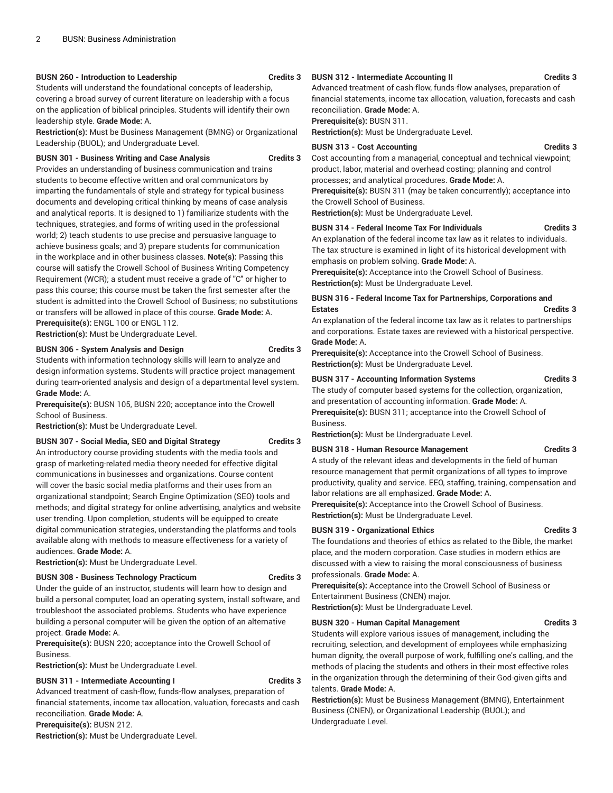# **BUSN 260 - Introduction to Leadership Credits 3**

Students will understand the foundational concepts of leadership, covering a broad survey of current literature on leadership with a focus on the application of biblical principles. Students will identify their own leadership style. **Grade Mode:** A.

**Restriction(s):** Must be Business Management (BMNG) or Organizational Leadership (BUOL); and Undergraduate Level.

#### **BUSN 301 - Business Writing and Case Analysis Credits 3**

Provides an understanding of business communication and trains students to become effective written and oral communicators by imparting the fundamentals of style and strategy for typical business documents and developing critical thinking by means of case analysis and analytical reports. It is designed to 1) familiarize students with the techniques, strategies, and forms of writing used in the professional world; 2) teach students to use precise and persuasive language to achieve business goals; and 3) prepare students for communication in the workplace and in other business classes. **Note(s):** Passing this course will satisfy the Crowell School of Business Writing Competency Requirement (WCR); a student must receive a grade of "C" or higher to pass this course; this course must be taken the first semester after the student is admitted into the Crowell School of Business; no substitutions or transfers will be allowed in place of this course. **Grade Mode:** A. **Prerequisite(s):** ENGL 100 or ENGL 112.

**Restriction(s):** Must be Undergraduate Level.

# **BUSN 306 - System Analysis and Design Credits 3**

Students with information technology skills will learn to analyze and design information systems. Students will practice project management during team-oriented analysis and design of a departmental level system. **Grade Mode:** A.

**Prerequisite(s):** BUSN 105, BUSN 220; acceptance into the Crowell School of Business.

**Restriction(s):** Must be Undergraduate Level.

#### **BUSN 307 - Social Media, SEO and Digital Strategy Credits 3**

An introductory course providing students with the media tools and grasp of marketing-related media theory needed for effective digital communications in businesses and organizations. Course content will cover the basic social media platforms and their uses from an organizational standpoint; Search Engine Optimization (SEO) tools and methods; and digital strategy for online advertising, analytics and website user trending. Upon completion, students will be equipped to create digital communication strategies, understanding the platforms and tools available along with methods to measure effectiveness for a variety of audiences. **Grade Mode:** A.

**Restriction(s):** Must be Undergraduate Level.

#### **BUSN 308 - Business Technology Practicum Credits 3**

Under the guide of an instructor, students will learn how to design and build a personal computer, load an operating system, install software, and troubleshoot the associated problems. Students who have experience building a personal computer will be given the option of an alternative project. **Grade Mode:** A.

**Prerequisite(s):** BUSN 220; acceptance into the Crowell School of Business.

**Restriction(s):** Must be Undergraduate Level.

# **BUSN 311 - Intermediate Accounting I Credits 3**

Advanced treatment of cash-flow, funds-flow analyses, preparation of financial statements, income tax allocation, valuation, forecasts and cash reconciliation. **Grade Mode:** A.

**Prerequisite(s):** BUSN 212.

**Restriction(s):** Must be Undergraduate Level.

# **BUSN 312 - Intermediate Accounting II Credits 3**

Advanced treatment of cash-flow, funds-flow analyses, preparation of financial statements, income tax allocation, valuation, forecasts and cash reconciliation. **Grade Mode:** A.

**Prerequisite(s):** BUSN 311.

**Restriction(s):** Must be Undergraduate Level.

# **BUSN 313 - Cost Accounting Credits 3**

Cost accounting from a managerial, conceptual and technical viewpoint; product, labor, material and overhead costing; planning and control processes; and analytical procedures. **Grade Mode:** A. **Prerequisite(s):** BUSN 311 (may be taken concurrently); acceptance into

the Crowell School of Business. **Restriction(s):** Must be Undergraduate Level.

# **BUSN 314 - Federal Income Tax For Individuals Credits 3**

An explanation of the federal income tax law as it relates to individuals. The tax structure is examined in light of its historical development with emphasis on problem solving. **Grade Mode:** A.

**Prerequisite(s):** Acceptance into the Crowell School of Business. **Restriction(s):** Must be Undergraduate Level.

# **BUSN 316 - Federal Income Tax for Partnerships, Corporations and Estates Credits 3**

An explanation of the federal income tax law as it relates to partnerships and corporations. Estate taxes are reviewed with a historical perspective. **Grade Mode:** A.

**Prerequisite(s):** Acceptance into the Crowell School of Business. **Restriction(s):** Must be Undergraduate Level.

#### **BUSN 317 - Accounting Information Systems Credits 3**

The study of computer based systems for the collection, organization, and presentation of accounting information. **Grade Mode:** A. **Prerequisite(s):** BUSN 311; acceptance into the Crowell School of Business.

**Restriction(s):** Must be Undergraduate Level.

# **BUSN 318 - Human Resource Management Credits 3**

A study of the relevant ideas and developments in the field of human resource management that permit organizations of all types to improve productivity, quality and service. EEO, staffing, training, compensation and labor relations are all emphasized. **Grade Mode:** A.

**Prerequisite(s):** Acceptance into the Crowell School of Business. **Restriction(s):** Must be Undergraduate Level.

# **BUSN 319 - Organizational Ethics Credits 3**

The foundations and theories of ethics as related to the Bible, the market place, and the modern corporation. Case studies in modern ethics are discussed with a view to raising the moral consciousness of business professionals. **Grade Mode:** A.

**Prerequisite(s):** Acceptance into the Crowell School of Business or Entertainment Business (CNEN) major.

**Restriction(s):** Must be Undergraduate Level.

# **BUSN 320 - Human Capital Management Credits 3**

Students will explore various issues of management, including the recruiting, selection, and development of employees while emphasizing human dignity, the overall purpose of work, fulfilling one's calling, and the methods of placing the students and others in their most effective roles in the organization through the determining of their God-given gifts and talents. **Grade Mode:** A.

**Restriction(s):** Must be Business Management (BMNG), Entertainment Business (CNEN), or Organizational Leadership (BUOL); and Undergraduate Level.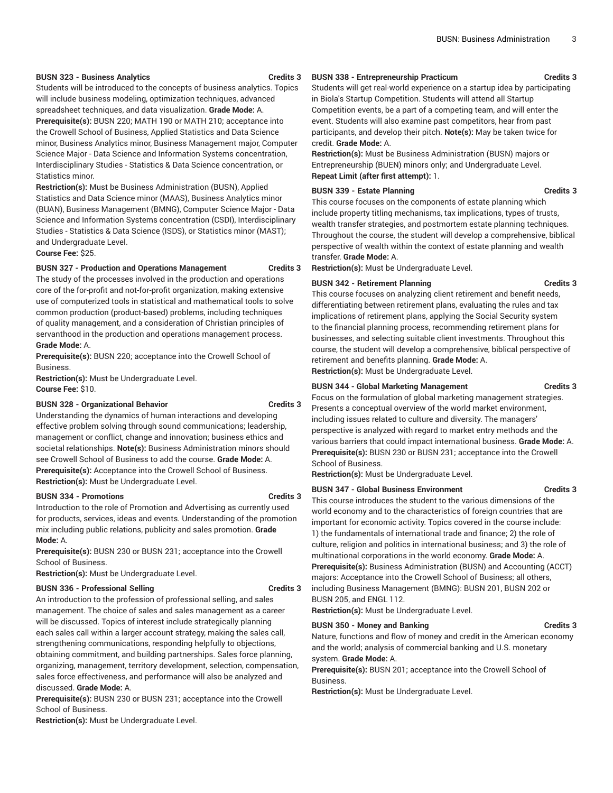#### **BUSN 323 - Business Analytics Credits 3**

Students will be introduced to the concepts of business analytics. Topics will include business modeling, optimization techniques, advanced spreadsheet techniques, and data visualization. **Grade Mode:** A.

**Prerequisite(s):** BUSN 220; MATH 190 or MATH 210; acceptance into the Crowell School of Business, Applied Statistics and Data Science minor, Business Analytics minor, Business Management major, Computer Science Major - Data Science and Information Systems concentration, Interdisciplinary Studies - Statistics & Data Science concentration, or Statistics minor.

**Restriction(s):** Must be Business Administration (BUSN), Applied Statistics and Data Science minor (MAAS), Business Analytics minor (BUAN), Business Management (BMNG), Computer Science Major - Data Science and Information Systems concentration (CSDI), Interdisciplinary Studies - Statistics & Data Science (ISDS), or Statistics minor (MAST); and Undergraduate Level.

**Course Fee:** \$25.

#### **BUSN 327 - Production and Operations Management Credits 3**

The study of the processes involved in the production and operations core of the for-profit and not-for-profit organization, making extensive use of computerized tools in statistical and mathematical tools to solve common production (product-based) problems, including techniques of quality management, and a consideration of Christian principles of servanthood in the production and operations management process. **Grade Mode:** A.

**Prerequisite(s):** BUSN 220; acceptance into the Crowell School of Business.

**Restriction(s):** Must be Undergraduate Level. **Course Fee:** \$10.

# **BUSN 328 - Organizational Behavior Credits 3**

Understanding the dynamics of human interactions and developing effective problem solving through sound communications; leadership, management or conflict, change and innovation; business ethics and societal relationships. **Note(s):** Business Administration minors should see Crowell School of Business to add the course. **Grade Mode:** A. **Prerequisite(s):** Acceptance into the Crowell School of Business. **Restriction(s):** Must be Undergraduate Level.

#### **BUSN 334 - Promotions Credits 3**

Introduction to the role of Promotion and Advertising as currently used for products, services, ideas and events. Understanding of the promotion mix including public relations, publicity and sales promotion. **Grade Mode:** A.

**Prerequisite(s):** BUSN 230 or BUSN 231; acceptance into the Crowell School of Business.

**Restriction(s):** Must be Undergraduate Level.

# **BUSN 336 - Professional Selling <b>Credits 3**

An introduction to the profession of professional selling, and sales management. The choice of sales and sales management as a career will be discussed. Topics of interest include strategically planning each sales call within a larger account strategy, making the sales call, strengthening communications, responding helpfully to objections, obtaining commitment, and building partnerships. Sales force planning, organizing, management, territory development, selection, compensation, sales force effectiveness, and performance will also be analyzed and discussed. **Grade Mode:** A.

**Prerequisite(s):** BUSN 230 or BUSN 231; acceptance into the Crowell School of Business.

**Restriction(s):** Must be Undergraduate Level.

# **BUSN 338 - Entrepreneurship Practicum Credits 3**

Students will get real-world experience on a startup idea by participating in Biola's Startup Competition. Students will attend all Startup Competition events, be a part of a competing team, and will enter the event. Students will also examine past competitors, hear from past participants, and develop their pitch. **Note(s):** May be taken twice for credit. **Grade Mode:** A.

**Restriction(s):** Must be Business Administration (BUSN) majors or Entrepreneurship (BUEN) minors only; and Undergraduate Level. **Repeat Limit (after first attempt):** 1.

# **BUSN 339 - Estate Planning Credits 3**

This course focuses on the components of estate planning which include property titling mechanisms, tax implications, types of trusts, wealth transfer strategies, and postmortem estate planning techniques. Throughout the course, the student will develop a comprehensive, biblical perspective of wealth within the context of estate planning and wealth transfer. **Grade Mode:** A.

**Restriction(s):** Must be Undergraduate Level.

# **BUSN 342 - Retirement Planning <b>Credits 3**

This course focuses on analyzing client retirement and benefit needs, differentiating between retirement plans, evaluating the rules and tax implications of retirement plans, applying the Social Security system to the financial planning process, recommending retirement plans for businesses, and selecting suitable client investments. Throughout this course, the student will develop a comprehensive, biblical perspective of retirement and benefits planning. **Grade Mode:** A. **Restriction(s):** Must be Undergraduate Level.

**BUSN 344 - Global Marketing Management Credits 3**

Focus on the formulation of global marketing management strategies. Presents a conceptual overview of the world market environment, including issues related to culture and diversity. The managers' perspective is analyzed with regard to market entry methods and the various barriers that could impact international business. **Grade Mode:** A. **Prerequisite(s):** BUSN 230 or BUSN 231; acceptance into the Crowell

**Restriction(s):** Must be Undergraduate Level.

# **BUSN 347 - Global Business Environment Credits 3**

This course introduces the student to the various dimensions of the world economy and to the characteristics of foreign countries that are important for economic activity. Topics covered in the course include: 1) the fundamentals of international trade and finance; 2) the role of culture, religion and politics in international business; and 3) the role of multinational corporations in the world economy. **Grade Mode:** A. **Prerequisite(s):** Business Administration (BUSN) and Accounting (ACCT) majors: Acceptance into the Crowell School of Business; all others, including Business Management (BMNG): BUSN 201, BUSN 202 or BUSN 205, and ENGL 112.

**Restriction(s):** Must be Undergraduate Level.

# **BUSN 350 - Money and Banking Credits 3**

Nature, functions and flow of money and credit in the American economy and the world; analysis of commercial banking and U.S. monetary system. **Grade Mode:** A.

**Prerequisite(s):** BUSN 201; acceptance into the Crowell School of Business.

**Restriction(s):** Must be Undergraduate Level.

School of Business.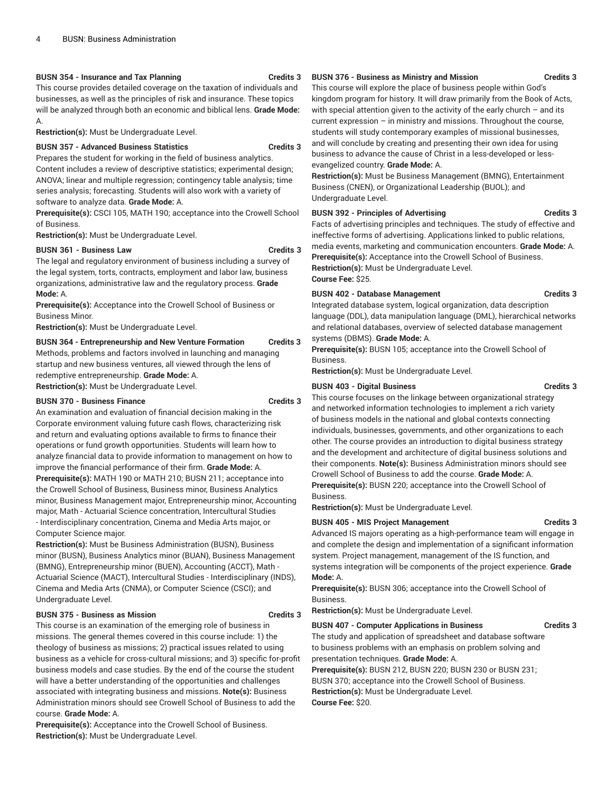# **BUSN 354 - Insurance and Tax Planning Credits 3**

This course provides detailed coverage on the taxation of individuals and businesses, as well as the principles of risk and insurance. These topics will be analyzed through both an economic and biblical lens. **Grade Mode:** A.

**Restriction(s):** Must be Undergraduate Level.

# **BUSN 357 - Advanced Business Statistics Credits 3**

Prepares the student for working in the field of business analytics. Content includes a review of descriptive statistics; experimental design; ANOVA; linear and multiple regression; contingency table analysis; time series analysis; forecasting. Students will also work with a variety of software to analyze data. **Grade Mode:** A.

**Prerequisite(s):** CSCI 105, MATH 190; acceptance into the Crowell School of Business.

**Restriction(s):** Must be Undergraduate Level.

# **BUSN 361 - Business Law Credits 3**

The legal and regulatory environment of business including a survey of the legal system, torts, contracts, employment and labor law, business organizations, administrative law and the regulatory process. **Grade Mode:** A.

**Prerequisite(s):** Acceptance into the Crowell School of Business or Business Minor.

**Restriction(s):** Must be Undergraduate Level.

**BUSN 364 - Entrepreneurship and New Venture Formation Credits 3** Methods, problems and factors involved in launching and managing startup and new business ventures, all viewed through the lens of redemptive entrepreneurship. **Grade Mode:** A. **Restriction(s):** Must be Undergraduate Level.

# **BUSN 370 - Business Finance Credits 3**

An examination and evaluation of financial decision making in the Corporate environment valuing future cash flows, characterizing risk and return and evaluating options available to firms to finance their operations or fund growth opportunities. Students will learn how to analyze financial data to provide information to management on how to improve the financial performance of their firm. **Grade Mode:** A. **Prerequisite(s):** MATH 190 or MATH 210; BUSN 211; acceptance into the Crowell School of Business, Business minor, Business Analytics minor, Business Management major, Entrepreneurship minor, Accounting major, Math - Actuarial Science concentration, Intercultural Studies - Interdisciplinary concentration, Cinema and Media Arts major, or Computer Science major.

**Restriction(s):** Must be Business Administration (BUSN), Business minor (BUSN), Business Analytics minor (BUAN), Business Management (BMNG), Entrepreneurship minor (BUEN), Accounting (ACCT), Math - Actuarial Science (MACT), Intercultural Studies - Interdisciplinary (INDS), Cinema and Media Arts (CNMA), or Computer Science (CSCI); and Undergraduate Level.

# **BUSN 375 - Business as Mission Credits 3**

This course is an examination of the emerging role of business in missions. The general themes covered in this course include: 1) the theology of business as missions; 2) practical issues related to using business as a vehicle for cross-cultural missions; and 3) specific for-profit business models and case studies. By the end of the course the student will have a better understanding of the opportunities and challenges associated with integrating business and missions. **Note(s):** Business Administration minors should see Crowell School of Business to add the course. **Grade Mode:** A.

**Prerequisite(s):** Acceptance into the Crowell School of Business. **Restriction(s):** Must be Undergraduate Level.

# **BUSN 376 - Business as Ministry and Mission Credits 3**

This course will explore the place of business people within God's kingdom program for history. It will draw primarily from the Book of Acts, with special attention given to the activity of the early church – and its current expression – in ministry and missions. Throughout the course, students will study contemporary examples of missional businesses, and will conclude by creating and presenting their own idea for using business to advance the cause of Christ in a less-developed or less-

# evangelized country. **Grade Mode:** A.

**Restriction(s):** Must be Business Management (BMNG), Entertainment Business (CNEN), or Organizational Leadership (BUOL); and Undergraduate Level.

# **BUSN 392 - Principles of Advertising Credits 3**

Facts of advertising principles and techniques. The study of effective and ineffective forms of advertising. Applications linked to public relations, media events, marketing and communication encounters. **Grade Mode:** A. **Prerequisite(s):** Acceptance into the Crowell School of Business. **Restriction(s):** Must be Undergraduate Level. **Course Fee:** \$25.

# **BUSN 402 - Database Management Credits 3**

Integrated database system, logical organization, data description language (DDL), data manipulation language (DML), hierarchical networks and relational databases, overview of selected database management systems (DBMS). **Grade Mode:** A.

**Prerequisite(s):** BUSN 105; acceptance into the Crowell School of Business.

**Restriction(s):** Must be Undergraduate Level.

# **BUSN 403 - Digital Business Credits 3**

This course focuses on the linkage between organizational strategy and networked information technologies to implement a rich variety of business models in the national and global contexts connecting individuals, businesses, governments, and other organizations to each other. The course provides an introduction to digital business strategy and the development and architecture of digital business solutions and their components. **Note(s):** Business Administration minors should see Crowell School of Business to add the course. **Grade Mode:** A. **Prerequisite(s):** BUSN 220; acceptance into the Crowell School of Business.

**Restriction(s):** Must be Undergraduate Level.

# **BUSN 405 - MIS Project Management Credits 3**

Advanced IS majors operating as a high-performance team will engage in and complete the design and implementation of a significant information system. Project management, management of the IS function, and systems integration will be components of the project experience. **Grade Mode:** A.

**Prerequisite(s):** BUSN 306; acceptance into the Crowell School of Business.

**Restriction(s):** Must be Undergraduate Level.

# **BUSN 407 - Computer Applications in Business Credits 3**

The study and application of spreadsheet and database software to business problems with an emphasis on problem solving and presentation techniques. **Grade Mode:** A.

**Prerequisite(s):** BUSN 212, BUSN 220; BUSN 230 or BUSN 231; BUSN 370; acceptance into the Crowell School of Business. **Restriction(s):** Must be Undergraduate Level. **Course Fee:** \$20.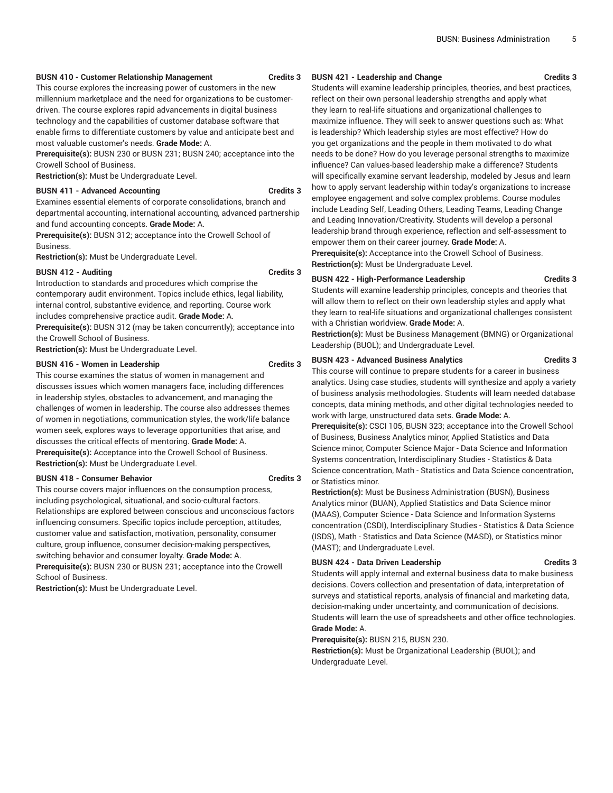#### **BUSN 410 - Customer Relationship Management Credits 3**

This course explores the increasing power of customers in the new

millennium marketplace and the need for organizations to be customerdriven. The course explores rapid advancements in digital business technology and the capabilities of customer database software that enable firms to differentiate customers by value and anticipate best and most valuable customer's needs. **Grade Mode:** A.

**Prerequisite(s):** BUSN 230 or BUSN 231; BUSN 240; acceptance into the Crowell School of Business.

**Restriction(s):** Must be Undergraduate Level.

# **BUSN 411 - Advanced Accounting Credits 3**

Examines essential elements of corporate consolidations, branch and departmental accounting, international accounting, advanced partnership and fund accounting concepts. **Grade Mode:** A.

**Prerequisite(s):** BUSN 312; acceptance into the Crowell School of Business.

**Restriction(s):** Must be Undergraduate Level.

# **BUSN 412 - Auditing Credits 3**

Introduction to standards and procedures which comprise the contemporary audit environment. Topics include ethics, legal liability, internal control, substantive evidence, and reporting. Course work includes comprehensive practice audit. **Grade Mode:** A.

**Prerequisite(s):** BUSN 312 (may be taken concurrently); acceptance into the Crowell School of Business.

**Restriction(s):** Must be Undergraduate Level.

#### **BUSN 416 - Women in Leadership Credits 3**

This course examines the status of women in management and discusses issues which women managers face, including differences in leadership styles, obstacles to advancement, and managing the challenges of women in leadership. The course also addresses themes of women in negotiations, communication styles, the work/life balance women seek, explores ways to leverage opportunities that arise, and discusses the critical effects of mentoring. **Grade Mode:** A. **Prerequisite(s):** Acceptance into the Crowell School of Business. **Restriction(s):** Must be Undergraduate Level.

# **BUSN 418 - Consumer Behavior Credits 3**

This course covers major influences on the consumption process, including psychological, situational, and socio-cultural factors. Relationships are explored between conscious and unconscious factors influencing consumers. Specific topics include perception, attitudes, customer value and satisfaction, motivation, personality, consumer culture, group influence, consumer decision-making perspectives, switching behavior and consumer loyalty. **Grade Mode:** A. **Prerequisite(s):** BUSN 230 or BUSN 231; acceptance into the Crowell

School of Business.

**Restriction(s):** Must be Undergraduate Level.

#### **BUSN 421 - Leadership and Change Credits 3**

Students will examine leadership principles, theories, and best practices, reflect on their own personal leadership strengths and apply what they learn to real-life situations and organizational challenges to maximize influence. They will seek to answer questions such as: What is leadership? Which leadership styles are most effective? How do you get organizations and the people in them motivated to do what needs to be done? How do you leverage personal strengths to maximize influence? Can values-based leadership make a difference? Students will specifically examine servant leadership, modeled by Jesus and learn how to apply servant leadership within today's organizations to increase employee engagement and solve complex problems. Course modules include Leading Self, Leading Others, Leading Teams, Leading Change and Leading Innovation/Creativity. Students will develop a personal leadership brand through experience, reflection and self-assessment to empower them on their career journey. **Grade Mode:** A.

**Prerequisite(s):** Acceptance into the Crowell School of Business. **Restriction(s):** Must be Undergraduate Level.

# **BUSN 422 - High-Performance Leadership Credits 3**

Students will examine leadership principles, concepts and theories that will allow them to reflect on their own leadership styles and apply what they learn to real-life situations and organizational challenges consistent with a Christian worldview. **Grade Mode:** A.

**Restriction(s):** Must be Business Management (BMNG) or Organizational Leadership (BUOL); and Undergraduate Level.

# **BUSN 423 - Advanced Business Analytics Credits 3**

This course will continue to prepare students for a career in business analytics. Using case studies, students will synthesize and apply a variety of business analysis methodologies. Students will learn needed database concepts, data mining methods, and other digital technologies needed to work with large, unstructured data sets. **Grade Mode:** A.

**Prerequisite(s):** CSCI 105, BUSN 323; acceptance into the Crowell School of Business, Business Analytics minor, Applied Statistics and Data Science minor, Computer Science Major - Data Science and Information Systems concentration, Interdisciplinary Studies - Statistics & Data Science concentration, Math - Statistics and Data Science concentration, or Statistics minor.

**Restriction(s):** Must be Business Administration (BUSN), Business Analytics minor (BUAN), Applied Statistics and Data Science minor (MAAS), Computer Science - Data Science and Information Systems concentration (CSDI), Interdisciplinary Studies - Statistics & Data Science (ISDS), Math - Statistics and Data Science (MASD), or Statistics minor (MAST); and Undergraduate Level.

# **BUSN 424 - Data Driven Leadership Credits 3**

Students will apply internal and external business data to make business decisions. Covers collection and presentation of data, interpretation of surveys and statistical reports, analysis of financial and marketing data, decision-making under uncertainty, and communication of decisions. Students will learn the use of spreadsheets and other office technologies. **Grade Mode:** A.

**Prerequisite(s):** BUSN 215, BUSN 230.

**Restriction(s):** Must be Organizational Leadership (BUOL); and Undergraduate Level.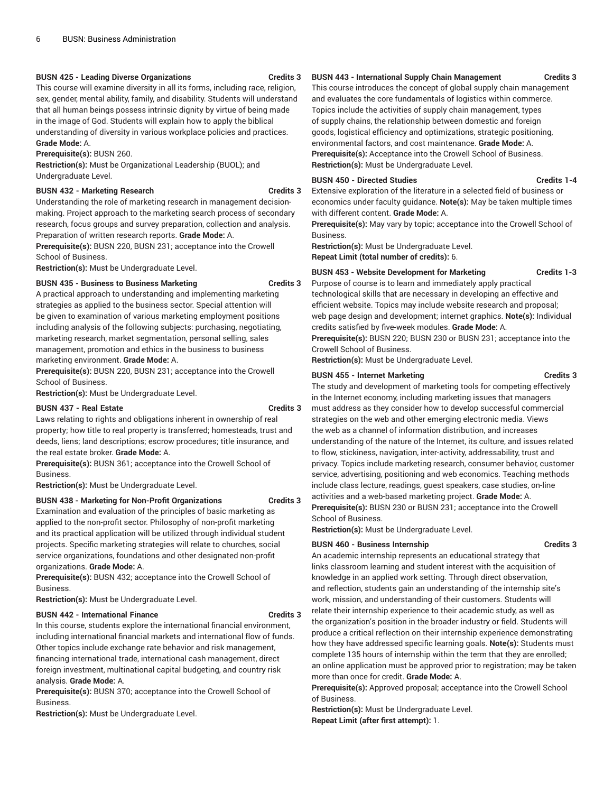# **BUSN 425 - Leading Diverse Organizations Credits 3**

This course will examine diversity in all its forms, including race, religion, sex, gender, mental ability, family, and disability. Students will understand that all human beings possess intrinsic dignity by virtue of being made in the image of God. Students will explain how to apply the biblical understanding of diversity in various workplace policies and practices. **Grade Mode:** A.

**Prerequisite(s):** BUSN 260.

**Restriction(s):** Must be Organizational Leadership (BUOL); and Undergraduate Level.

# **BUSN 432 - Marketing Research Credits 3**

Understanding the role of marketing research in management decisionmaking. Project approach to the marketing search process of secondary research, focus groups and survey preparation, collection and analysis. Preparation of written research reports. **Grade Mode:** A.

**Prerequisite(s):** BUSN 220, BUSN 231; acceptance into the Crowell School of Business.

**Restriction(s):** Must be Undergraduate Level.

**BUSN 435 - Business to Business Marketing Credits 3**

A practical approach to understanding and implementing marketing strategies as applied to the business sector. Special attention will be given to examination of various marketing employment positions including analysis of the following subjects: purchasing, negotiating, marketing research, market segmentation, personal selling, sales management, promotion and ethics in the business to business marketing environment. **Grade Mode:** A.

**Prerequisite(s):** BUSN 220, BUSN 231; acceptance into the Crowell School of Business.

**Restriction(s):** Must be Undergraduate Level.

# **BUSN 437 - Real Estate Credits 3**

Laws relating to rights and obligations inherent in ownership of real property; how title to real property is transferred; homesteads, trust and deeds, liens; land descriptions; escrow procedures; title insurance, and the real estate broker. **Grade Mode:** A.

**Prerequisite(s):** BUSN 361; acceptance into the Crowell School of Business.

**Restriction(s):** Must be Undergraduate Level.

# **BUSN 438 - Marketing for Non-Profit Organizations Credits 3**

Examination and evaluation of the principles of basic marketing as applied to the non-profit sector. Philosophy of non-profit marketing and its practical application will be utilized through individual student projects. Specific marketing strategies will relate to churches, social service organizations, foundations and other designated non-profit organizations. **Grade Mode:** A.

**Prerequisite(s):** BUSN 432; acceptance into the Crowell School of Business.

**Restriction(s):** Must be Undergraduate Level.

# **BUSN 442 - International Finance Credits 3**

In this course, students explore the international financial environment, including international financial markets and international flow of funds. Other topics include exchange rate behavior and risk management, financing international trade, international cash management, direct foreign investment, multinational capital budgeting, and country risk analysis. **Grade Mode:** A.

**Prerequisite(s):** BUSN 370; acceptance into the Crowell School of Business.

**Restriction(s):** Must be Undergraduate Level.

# **BUSN 443 - International Supply Chain Management Credits 3**

This course introduces the concept of global supply chain management and evaluates the core fundamentals of logistics within commerce. Topics include the activities of supply chain management, types of supply chains, the relationship between domestic and foreign goods, logistical efficiency and optimizations, strategic positioning, environmental factors, and cost maintenance. **Grade Mode:** A.

**Prerequisite(s):** Acceptance into the Crowell School of Business. **Restriction(s):** Must be Undergraduate Level.

# **BUSN 450 - Directed Studies Credits 1-4**

Extensive exploration of the literature in a selected field of business or economics under faculty guidance. **Note(s):** May be taken multiple times with different content. **Grade Mode:** A.

**Prerequisite(s):** May vary by topic; acceptance into the Crowell School of Business.

**Restriction(s):** Must be Undergraduate Level. **Repeat Limit (total number of credits):** 6.

# **BUSN 453 - Website Development for Marketing Credits 1-3**

Purpose of course is to learn and immediately apply practical technological skills that are necessary in developing an effective and efficient website. Topics may include website research and proposal; web page design and development; internet graphics. **Note(s):** Individual credits satisfied by five-week modules. **Grade Mode:** A. **Prerequisite(s):** BUSN 220; BUSN 230 or BUSN 231; acceptance into the

Crowell School of Business.

**Restriction(s):** Must be Undergraduate Level.

# **BUSN 455 - Internet Marketing Credits 3**

The study and development of marketing tools for competing effectively in the Internet economy, including marketing issues that managers must address as they consider how to develop successful commercial strategies on the web and other emerging electronic media. Views the web as a channel of information distribution, and increases understanding of the nature of the Internet, its culture, and issues related to flow, stickiness, navigation, inter-activity, addressability, trust and privacy. Topics include marketing research, consumer behavior, customer service, advertising, positioning and web economics. Teaching methods include class lecture, readings, guest speakers, case studies, on-line activities and a web-based marketing project. **Grade Mode:** A. **Prerequisite(s):** BUSN 230 or BUSN 231; acceptance into the Crowell School of Business.

**Restriction(s):** Must be Undergraduate Level.

# **BUSN 460 - Business Internship Credits 3**

An academic internship represents an educational strategy that links classroom learning and student interest with the acquisition of knowledge in an applied work setting. Through direct observation, and reflection, students gain an understanding of the internship site's work, mission, and understanding of their customers. Students will relate their internship experience to their academic study, as well as the organization's position in the broader industry or field. Students will produce a critical reflection on their internship experience demonstrating how they have addressed specific learning goals. **Note(s):** Students must complete 135 hours of internship within the term that they are enrolled; an online application must be approved prior to registration; may be taken more than once for credit. **Grade Mode:** A.

**Prerequisite(s):** Approved proposal; acceptance into the Crowell School of Business.

**Restriction(s):** Must be Undergraduate Level. **Repeat Limit (after first attempt):** 1.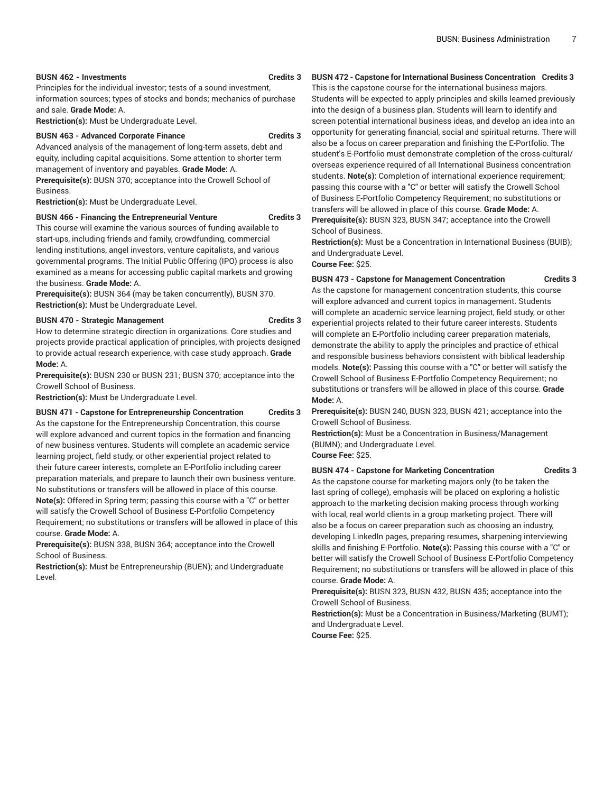# **BUSN 462 - Investments Credits 3**

Principles for the individual investor; tests of a sound investment, information sources; types of stocks and bonds; mechanics of purchase and sale. **Grade Mode:** A.

**Restriction(s):** Must be Undergraduate Level.

# **BUSN 463 - Advanced Corporate Finance Credits 3**

Advanced analysis of the management of long-term assets, debt and equity, including capital acquisitions. Some attention to shorter term management of inventory and payables. **Grade Mode:** A.

**Prerequisite(s):** BUSN 370; acceptance into the Crowell School of Business.

**Restriction(s):** Must be Undergraduate Level.

# **BUSN 466 - Financing the Entrepreneurial Venture Credits 3**

This course will examine the various sources of funding available to start-ups, including friends and family, crowdfunding, commercial lending institutions, angel investors, venture capitalists, and various governmental programs. The Initial Public Offering (IPO) process is also examined as a means for accessing public capital markets and growing the business. **Grade Mode:** A.

**Prerequisite(s):** BUSN 364 (may be taken concurrently), BUSN 370. **Restriction(s):** Must be Undergraduate Level.

# **BUSN 470 - Strategic Management Credits 3**

How to determine strategic direction in organizations. Core studies and projects provide practical application of principles, with projects designed to provide actual research experience, with case study approach. **Grade Mode:** A.

**Prerequisite(s):** BUSN 230 or BUSN 231; BUSN 370; acceptance into the Crowell School of Business.

**Restriction(s):** Must be Undergraduate Level.

**BUSN 471 - Capstone for Entrepreneurship Concentration Credits 3**

As the capstone for the Entrepreneurship Concentration, this course will explore advanced and current topics in the formation and financing of new business ventures. Students will complete an academic service learning project, field study, or other experiential project related to their future career interests, complete an E-Portfolio including career preparation materials, and prepare to launch their own business venture. No substitutions or transfers will be allowed in place of this course. **Note(s):** Offered in Spring term; passing this course with a "C" or better will satisfy the Crowell School of Business E-Portfolio Competency Requirement; no substitutions or transfers will be allowed in place of this course. **Grade Mode:** A.

**Prerequisite(s):** BUSN 338, BUSN 364; acceptance into the Crowell School of Business.

**Restriction(s):** Must be Entrepreneurship (BUEN); and Undergraduate Level.

# **BUSN 472 - Capstone for International Business Concentration Credits 3**

This is the capstone course for the international business majors. Students will be expected to apply principles and skills learned previously into the design of a business plan. Students will learn to identify and screen potential international business ideas, and develop an idea into an opportunity for generating financial, social and spiritual returns. There will also be a focus on career preparation and finishing the E-Portfolio. The student's E-Portfolio must demonstrate completion of the cross-cultural/ overseas experience required of all International Business concentration students. **Note(s):** Completion of international experience requirement; passing this course with a "C" or better will satisfy the Crowell School of Business E-Portfolio Competency Requirement; no substitutions or transfers will be allowed in place of this course. **Grade Mode:** A. **Prerequisite(s):** BUSN 323, BUSN 347; acceptance into the Crowell

School of Business.

**Restriction(s):** Must be a Concentration in International Business (BUIB); and Undergraduate Level.

**Course Fee:** \$25.

**BUSN 473 - Capstone for Management Concentration Credits 3** As the capstone for management concentration students, this course will explore advanced and current topics in management. Students will complete an academic service learning project, field study, or other experiential projects related to their future career interests. Students will complete an E-Portfolio including career preparation materials, demonstrate the ability to apply the principles and practice of ethical and responsible business behaviors consistent with biblical leadership models. **Note(s):** Passing this course with a "C" or better will satisfy the Crowell School of Business E-Portfolio Competency Requirement; no substitutions or transfers will be allowed in place of this course. **Grade Mode:** A.

**Prerequisite(s):** BUSN 240, BUSN 323, BUSN 421; acceptance into the Crowell School of Business.

**Restriction(s):** Must be a Concentration in Business/Management (BUMN); and Undergraduate Level. **Course Fee:** \$25.

**BUSN 474 - Capstone for Marketing Concentration Credits 3**

As the capstone course for marketing majors only (to be taken the last spring of college), emphasis will be placed on exploring a holistic approach to the marketing decision making process through working with local, real world clients in a group marketing project. There will also be a focus on career preparation such as choosing an industry, developing LinkedIn pages, preparing resumes, sharpening interviewing skills and finishing E-Portfolio. **Note(s):** Passing this course with a "C" or better will satisfy the Crowell School of Business E-Portfolio Competency Requirement; no substitutions or transfers will be allowed in place of this course. **Grade Mode:** A.

**Prerequisite(s):** BUSN 323, BUSN 432, BUSN 435; acceptance into the Crowell School of Business.

**Restriction(s):** Must be a Concentration in Business/Marketing (BUMT); and Undergraduate Level.

**Course Fee:** \$25.